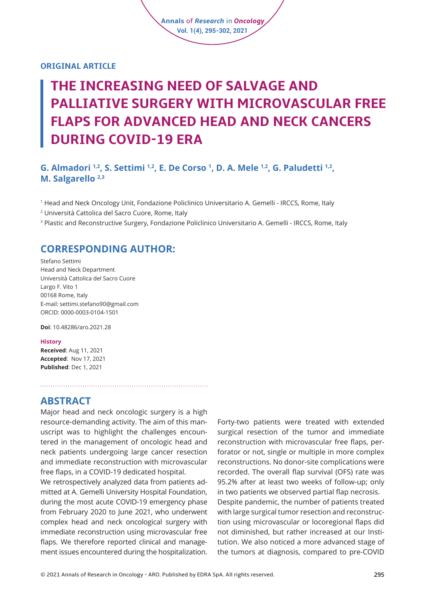### **ORIGINAL ARTICLE**

# **THE INCREASING NEED OF SALVAGE AND PALLIATIVE SURGERY WITH MICROVASCULAR FREE FLAPS FOR ADVANCED HEAD AND NECK CANCERS DURING COVID-19 ERA**

**Annals** of *Research* in *Oncology* **Vol. 1(4), 295-302, 2021**

# **G. Almadori <sup>1,2</sup>, S. Settimi <sup>1,2</sup>, E. De Corso <sup>1</sup>, D. A. Mele <sup>1,2</sup>, G. Paludetti <sup>1,2</sup>, M. Salgarello 2,3**

1 Head and Neck Oncology Unit, Fondazione Policlinico Universitario A. Gemelli - IRCCS, Rome, Italy

2 Università Cattolica del Sacro Cuore, Rome, Italy

<sup>3</sup> Plastic and Reconstructive Surgery, Fondazione Policlinico Universitario A. Gemelli - IRCCS, Rome, Italy

# **CORRESPONDING AUTHOR:**

Stefano Settimi Head and Neck Department Università Cattolica del Sacro Cuore Largo F. Vito 1 00168 Rome, Italy E-mail: settimi.stefano90@gmail.com ORCID: 0000-0003-0104-1501

**Doi**: [10.48286/aro.2021.28](https://www.annals-research-oncology.com/the-increasing-need-of-salvage-and-palliative-surgery-with-microvascular-free-flaps-for-advanced-head-and-neck-cancers-during-covid-19-era/) 

#### **History**

**Received**: Aug 11, 2021 **Accepted**: Nov 17, 2021 **Published**: Dec 1, 2021

# **ABSTRACT**

Major head and neck oncologic surgery is a high resource-demanding activity. The aim of this manuscript was to highlight the challenges encountered in the management of oncologic head and neck patients undergoing large cancer resection and immediate reconstruction with microvascular free flaps, in a COVID-19 dedicated hospital.

We retrospectively analyzed data from patients admitted at A. Gemelli University Hospital Foundation, during the most acute COVID-19 emergency phase from February 2020 to June 2021, who underwent complex head and neck oncological surgery with immediate reconstruction using microvascular free flaps. We therefore reported clinical and management issues encountered during the hospitalization.

Forty-two patients were treated with extended surgical resection of the tumor and immediate reconstruction with microvascular free flaps, perforator or not, single or multiple in more complex reconstructions. No donor-site complications were recorded. The overall flap survival (OFS) rate was 95.2% after at least two weeks of follow-up; only in two patients we observed partial flap necrosis. Despite pandemic, the number of patients treated with large surgical tumor resection and reconstruction using microvascular or locoregional flaps did not diminished, but rather increased at our Institution. We also noticed a more advanced stage of the tumors at diagnosis, compared to pre-COVID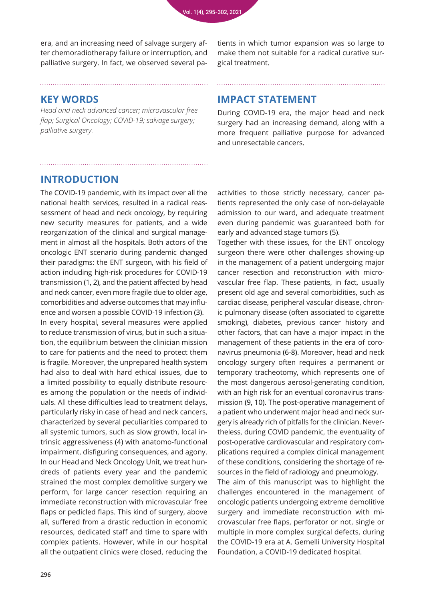era, and an increasing need of salvage surgery after chemoradiotherapy failure or interruption, and palliative surgery. In fact, we observed several patients in which tumor expansion was so large to make them not suitable for a radical curative surgical treatment.

# **KEY WORDS**

*Head and neck advanced cancer; microvascular free flap; Surgical Oncology; COVID-19; salvage surgery; palliative surgery.*

# **IMPACT STATEMENT**

During COVID-19 era, the major head and neck surgery had an increasing demand, along with a more frequent palliative purpose for advanced and unresectable cancers.

# **INTRODUCTION**

The COVID-19 pandemic, with its impact over all the national health services, resulted in a radical reassessment of head and neck oncology, by requiring new security measures for patients, and a wide reorganization of the clinical and surgical management in almost all the hospitals. Both actors of the oncologic ENT scenario during pandemic changed their paradigms: the ENT surgeon, with his field of action including high-risk procedures for COVID-19 transmission (1, 2), and the patient affected by head and neck cancer, even more fragile due to older age, comorbidities and adverse outcomes that may influence and worsen a possible COVID-19 infection (3).

In every hospital, several measures were applied to reduce transmission of virus, but in such a situation, the equilibrium between the clinician mission to care for patients and the need to protect them is fragile. Moreover, the unprepared health system had also to deal with hard ethical issues, due to a limited possibility to equally distribute resources among the population or the needs of individuals. All these difficulties lead to treatment delays, particularly risky in case of head and neck cancers, characterized by several peculiarities compared to all systemic tumors, such as slow growth, local intrinsic aggressiveness (4) with anatomo-functional impairment, disfiguring consequences, and agony. In our Head and Neck Oncology Unit, we treat hundreds of patients every year and the pandemic strained the most complex demolitive surgery we perform, for large cancer resection requiring an immediate reconstruction with microvascular free flaps or pedicled flaps. This kind of surgery, above all, suffered from a drastic reduction in economic resources, dedicated staff and time to spare with complex patients. However, while in our hospital all the outpatient clinics were closed, reducing the

activities to those strictly necessary, cancer patients represented the only case of non-delayable admission to our ward, and adequate treatment even during pandemic was guaranteed both for early and advanced stage tumors (5).

Together with these issues, for the ENT oncology surgeon there were other challenges showing-up in the management of a patient undergoing major cancer resection and reconstruction with microvascular free flap. These patients, in fact, usually present old age and several comorbidities, such as cardiac disease, peripheral vascular disease, chronic pulmonary disease (often associated to cigarette smoking), diabetes, previous cancer history and other factors, that can have a major impact in the management of these patients in the era of coronavirus pneumonia (6-8). Moreover, head and neck oncology surgery often requires a permanent or temporary tracheotomy, which represents one of the most dangerous aerosol-generating condition, with an high risk for an eventual coronavirus transmission (9, 10). The post-operative management of a patient who underwent major head and neck surgery is already rich of pitfalls for the clinician. Nevertheless, during COVID pandemic, the eventuality of post-operative cardiovascular and respiratory complications required a complex clinical management of these conditions, considering the shortage of resources in the field of radiology and pneumology. The aim of this manuscript was to highlight the challenges encountered in the management of oncologic patients undergoing extreme demolitive surgery and immediate reconstruction with microvascular free flaps, perforator or not, single or multiple in more complex surgical defects, during the COVID-19 era at A. Gemelli University Hospital Foundation, a COVID-19 dedicated hospital.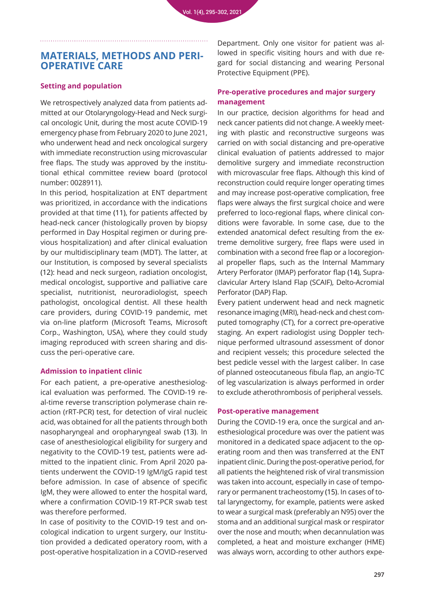# **MATERIALS, METHODS AND PERI-OPERATIVE CARE**

### **Setting and population**

We retrospectively analyzed data from patients admitted at our Otolaryngology-Head and Neck surgical oncologic Unit, during the most acute COVID-19 emergency phase from February 2020 to June 2021, who underwent head and neck oncological surgery with immediate reconstruction using microvascular free flaps. The study was approved by the institutional ethical committee review board (protocol number: 0028911).

In this period, hospitalization at ENT department was prioritized, in accordance with the indications provided at that time (11), for patients affected by head-neck cancer (histologically proven by biopsy performed in Day Hospital regimen or during previous hospitalization) and after clinical evaluation by our multidisciplinary team (MDT). The latter, at our Institution, is composed by several specialists (12): head and neck surgeon, radiation oncologist, medical oncologist, supportive and palliative care specialist, nutritionist, neuroradiologist, speech pathologist, oncological dentist. All these health care providers, during COVID-19 pandemic, met via on-line platform (Microsoft Teams, Microsoft Corp., Washington, USA), where they could study imaging reproduced with screen sharing and discuss the peri-operative care.

#### **Admission to inpatient clinic**

For each patient, a pre-operative anesthesiological evaluation was performed. The COVID-19 real-time reverse transcription polymerase chain reaction (rRT-PCR) test, for detection of viral nucleic acid, was obtained for all the patients through both nasopharyngeal and oropharyngeal swab (13). In case of anesthesiological eligibility for surgery and negativity to the COVID-19 test, patients were admitted to the inpatient clinic. From April 2020 patients underwent the COVID-19 IgM/IgG rapid test before admission. In case of absence of specific IgM, they were allowed to enter the hospital ward, where a confirmation COVID-19 RT-PCR swab test was therefore performed.

In case of positivity to the COVID-19 test and oncological indication to urgent surgery, our Institution provided a dedicated operatory room, with a post-operative hospitalization in a COVID-reserved

Department. Only one visitor for patient was allowed in specific visiting hours and with due regard for social distancing and wearing Personal Protective Equipment (PPE).

### **Pre-operative procedures and major surgery management**

In our practice, decision algorithms for head and neck cancer patients did not change. A weekly meeting with plastic and reconstructive surgeons was carried on with social distancing and pre-operative clinical evaluation of patients addressed to major demolitive surgery and immediate reconstruction with microvascular free flaps. Although this kind of reconstruction could require longer operating times and may increase post-operative complication, free flaps were always the first surgical choice and were preferred to loco-regional flaps, where clinical conditions were favorable. In some case, due to the extended anatomical defect resulting from the extreme demolitive surgery, free flaps were used in combination with a second free flap or a locoregional propeller flaps, such as the Internal Mammary Artery Perforator (IMAP) perforator flap (14), Supraclavicular Artery Island Flap (SCAIF), Delto-Acromial Perforator (DAP) Flap.

Every patient underwent head and neck magnetic resonance imaging (MRI), head-neck and chest computed tomography (CT), for a correct pre-operative staging. An expert radiologist using Doppler technique performed ultrasound assessment of donor and recipient vessels; this procedure selected the best pedicle vessel with the largest caliber. In case of planned osteocutaneous fibula flap, an angio-TC of leg vascularization is always performed in order to exclude atherothrombosis of peripheral vessels.

#### **Post-operative management**

During the COVID-19 era, once the surgical and anesthesiological procedure was over the patient was monitored in a dedicated space adjacent to the operating room and then was transferred at the ENT inpatient clinic. During the post-operative period, for all patients the heightened risk of viral transmission was taken into account, especially in case of temporary or permanent tracheostomy (15). In cases of total laryngectomy, for example, patients were asked to wear a surgical mask (preferably an N95) over the stoma and an additional surgical mask or respirator over the nose and mouth; when decannulation was completed, a heat and moisture exchanger (HME) was always worn, according to other authors expe-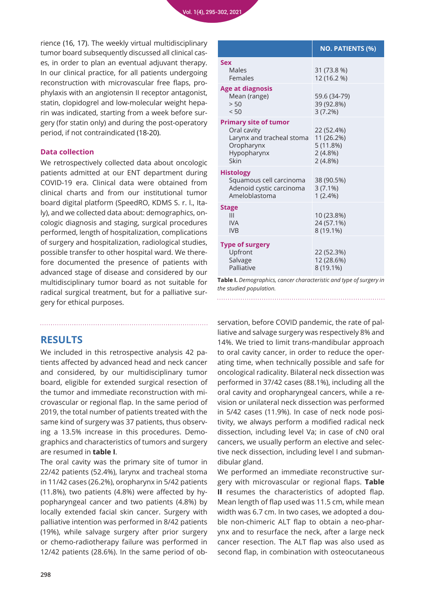rience (16, 17). The weekly virtual multidisciplinary tumor board subsequently discussed all clinical cases, in order to plan an eventual adjuvant therapy. In our clinical practice, for all patients undergoing reconstruction with microvascular free flaps, prophylaxis with an angiotensin II receptor antagonist, statin, clopidogrel and low-molecular weight heparin was indicated, starting from a week before surgery (for statin only) and during the post-operatory period, if not contraindicated (18-20).

#### **Data collection**

We retrospectively collected data about oncologic patients admitted at our ENT department during COVID-19 era. Clinical data were obtained from clinical charts and from our institutional tumor board digital platform (SpeedRO, KDMS S. r. l., Italy), and we collected data about: demographics, oncologic diagnosis and staging, surgical procedures performed, length of hospitalization, complications of surgery and hospitalization, radiological studies, possible transfer to other hospital ward. We therefore documented the presence of patients with advanced stage of disease and considered by our multidisciplinary tumor board as not suitable for radical surgical treatment, but for a palliative surgery for ethical purposes.

# **RESULTS**

We included in this retrospective analysis 42 patients affected by advanced head and neck cancer and considered, by our multidisciplinary tumor board, eligible for extended surgical resection of the tumor and immediate reconstruction with microvascular or regional flap. In the same period of 2019, the total number of patients treated with the same kind of surgery was 37 patients, thus observing a 13.5% increase in this procedures. Demographics and characteristics of tumors and surgery are resumed in **table I**.

The oral cavity was the primary site of tumor in 22/42 patients (52.4%), larynx and tracheal stoma in 11/42 cases (26.2%), oropharynx in 5/42 patients (11.8%), two patients (4.8%) were affected by hypopharyngeal cancer and two patients (4.8%) by locally extended facial skin cancer. Surgery with palliative intention was performed in 8/42 patients (19%), while salvage surgery after prior surgery or chemo-radiotherapy failure was performed in 12/42 patients (28.6%). In the same period of ob-

|                                                                                                               | <b>NO. PATIENTS (%)</b>                                          |
|---------------------------------------------------------------------------------------------------------------|------------------------------------------------------------------|
| Sex<br>Males<br>Females                                                                                       | 31 (73.8 %)<br>12 (16.2 %)                                       |
| <b>Age at diagnosis</b><br>Mean (range)<br>> 50<br>< 50                                                       | 59.6 (34-79)<br>39 (92.8%)<br>3(7.2%)                            |
| <b>Primary site of tumor</b><br>Oral cavity<br>Larynx and tracheal stoma<br>Oropharynx<br>Hypopharynx<br>Skin | 22 (52.4%)<br>11 (26.2%)<br>5(11.8%)<br>$2(4.8\%)$<br>$2(4.8\%)$ |
| <b>Histology</b><br>Squamous cell carcinoma<br>Adenoid cystic carcinoma<br>Ameloblastoma                      | 38 (90.5%)<br>$3(7.1\%)$<br>$1(2.4\%)$                           |
| Stage<br>III<br><b>IVA</b><br><b>IVB</b>                                                                      | 10 (23.8%)<br>24 (57.1%)<br>8 (19.1%)                            |
| <b>Type of surgery</b><br>Upfront<br>Salvage<br>Palliative                                                    | 22 (52.3%)<br>12 (28.6%)<br>8 (19.1%)                            |

**Table I.** *Demographics, cancer characteristic and type of surgery in the studied population.*

servation, before COVID pandemic, the rate of palliative and salvage surgery was respectively 8% and 14%. We tried to limit trans-mandibular approach to oral cavity cancer, in order to reduce the operating time, when technically possible and safe for oncological radicality. Bilateral neck dissection was performed in 37/42 cases (88.1%), including all the oral cavity and oropharyngeal cancers, while a revision or unilateral neck dissection was performed in 5/42 cases (11.9%). In case of neck node positivity, we always perform a modified radical neck dissection, including level Va; in case of cN0 oral cancers, we usually perform an elective and selective neck dissection, including level I and submandibular gland.

We performed an immediate reconstructive surgery with microvascular or regional flaps. **Table II** resumes the characteristics of adopted flap. Mean length of flap used was 11.5 cm, while mean width was 6.7 cm. In two cases, we adopted a double non-chimeric ALT flap to obtain a neo-pharynx and to resurface the neck, after a large neck cancer resection. The ALT flap was also used as second flap, in combination with osteocutaneous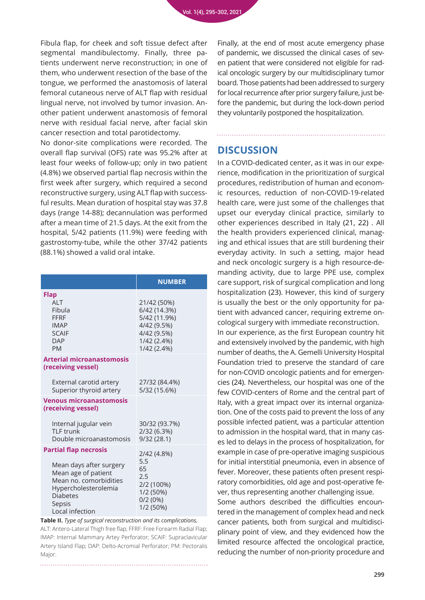Fibula flap, for cheek and soft tissue defect after segmental mandibulectomy. Finally, three patients underwent nerve reconstruction; in one of them, who underwent resection of the base of the tongue, we performed the anastomosis of lateral femoral cutaneous nerve of ALT flap with residual lingual nerve, not involved by tumor invasion. Another patient underwent anastomosis of femoral nerve with residual facial nerve, after facial skin cancer resection and total parotidectomy.

No donor-site complications were recorded. The overall flap survival (OFS) rate was 95.2% after at least four weeks of follow-up; only in two patient (4.8%) we observed partial flap necrosis within the first week after surgery, which required a second reconstructive surgery, using ALT flap with successful results. Mean duration of hospital stay was 37.8 days (range 14-88); decannulation was performed after a mean time of 21.5 days. At the exit from the hospital, 5/42 patients (11.9%) were feeding with gastrostomy-tube, while the other 37/42 patients (88.1%) showed a valid oral intake.

|                                                                                                                                                                                  | <b>NUMBER</b>                                                                                           |
|----------------------------------------------------------------------------------------------------------------------------------------------------------------------------------|---------------------------------------------------------------------------------------------------------|
| Flap<br>AIT<br>Fibula<br><b>FFRF</b><br><b>IMAP</b><br><b>SCAIF</b><br><b>DAP</b><br><b>PM</b>                                                                                   | 21/42 (50%)<br>6/42 (14.3%)<br>5/42 (11.9%)<br>4/42 (9.5%)<br>4/42 (9.5%)<br>1/42 (2.4%)<br>1/42 (2.4%) |
| <b>Arterial microanastomosis</b><br>(receiving vessel)                                                                                                                           |                                                                                                         |
| External carotid artery<br>Superior thyroid artery                                                                                                                               | 27/32 (84.4%)<br>5/32 (15.6%)                                                                           |
| <b>Venous microanastomosis</b><br>(receiving vessel)                                                                                                                             |                                                                                                         |
| Internal jugular vein<br>TI F trunk<br>Double microanastomosis                                                                                                                   | 30/32 (93.7%)<br>2/32 (6.3%)<br>9/32(28.1)                                                              |
| <b>Partial flap necrosis</b><br>Mean days after surgery<br>Mean age of patient<br>Mean no. comorbidities<br>Hypercholesterolemia<br><b>Diabetes</b><br>Sepsis<br>Local infection | 2/42 (4.8%)<br>5.5<br>65<br>2.5<br>2/2 (100%)<br>1/2 (50%)<br>0/2(0%)<br>1/2 (50%)                      |

**Table II.** *Type of surgical reconstruction and its complications.* ALT: Antero-Lateral Thigh free flap; FFRF: Free Forearm Radial Flap; IMAP: Internal Mammary Artey Perforator; SCAIF: Supraclavicular Artery Island Flap; DAP: Delto-Acromial Perforator; PM: Pectoralis Major.

Finally, at the end of most acute emergency phase of pandemic, we discussed the clinical cases of seven patient that were considered not eligible for radical oncologic surgery by our multidisciplinary tumor board. Those patients had been addressed to surgery for local recurrence after prior surgery failure, just before the pandemic, but during the lock-down period they voluntarily postponed the hospitalization.

### **DISCUSSION**

In a COVID-dedicated center, as it was in our experience, modification in the prioritization of surgical procedures, redistribution of human and economic resources, reduction of non-COVID-19-related health care, were just some of the challenges that upset our everyday clinical practice, similarly to other experiences described in Italy (21, 22) . All the health providers experienced clinical, managing and ethical issues that are still burdening their everyday activity. In such a setting, major head and neck oncologic surgery is a high resource-demanding activity, due to large PPE use, complex care support, risk of surgical complication and long hospitalization (23). However, this kind of surgery is usually the best or the only opportunity for patient with advanced cancer, requiring extreme oncological surgery with immediate reconstruction. In our experience, as the first European country hit and extensively involved by the pandemic, with high number of deaths, the A. Gemelli University Hospital Foundation tried to preserve the standard of care for non-COVID oncologic patients and for emergencies (24). Nevertheless, our hospital was one of the few COVID-centers of Rome and the central part of Italy, with a great impact over its internal organization. One of the costs paid to prevent the loss of any possible infected patient, was a particular attention to admission in the hospital ward, that in many cases led to delays in the process of hospitalization, for example in case of pre-operative imaging suspicious for initial interstitial pneumonia, even in absence of fever. Moreover, these patients often present respiratory comorbidities, old age and post-operative fever, thus representing another challenging issue. Some authors described the difficulties encountered in the management of complex head and neck cancer patients, both from surgical and multidisciplinary point of view, and they evidenced how the limited resource affected the oncological practice, reducing the number of non-priority procedure and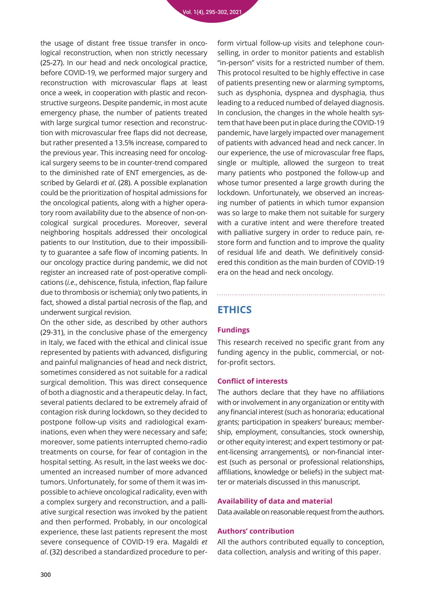the usage of distant free tissue transfer in oncological reconstruction, when non strictly necessary (25-27). In our head and neck oncological practice, before COVID-19, we performed major surgery and reconstruction with microvascular flaps at least once a week, in cooperation with plastic and reconstructive surgeons. Despite pandemic, in most acute emergency phase, the number of patients treated with large surgical tumor resection and reconstruction with microvascular free flaps did not decrease, but rather presented a 13.5% increase, compared to the previous year. This increasing need for oncological surgery seems to be in counter-trend compared to the diminished rate of ENT emergencies, as described by Gelardi *et al*. (28). A possible explanation could be the prioritization of hospital admissions for the oncological patients, along with a higher operatory room availability due to the absence of non-oncological surgical procedures. Moreover, several neighboring hospitals addressed their oncological patients to our Institution, due to their impossibility to guarantee a safe flow of incoming patients. In our oncology practice during pandemic, we did not register an increased rate of post-operative complications (*i.e*., dehiscence, fistula, infection, flap failure due to thrombosis or ischemia); only two patients, in fact, showed a distal partial necrosis of the flap, and underwent surgical revision.

On the other side, as described by other authors (29-31), in the conclusive phase of the emergency in Italy, we faced with the ethical and clinical issue represented by patients with advanced, disfiguring and painful malignancies of head and neck district, sometimes considered as not suitable for a radical surgical demolition. This was direct consequence of both a diagnostic and a therapeutic delay. In fact, several patients declared to be extremely afraid of contagion risk during lockdown, so they decided to postpone follow-up visits and radiological examinations, even when they were necessary and safe; moreover, some patients interrupted chemo-radio treatments on course, for fear of contagion in the hospital setting. As result, in the last weeks we documented an increased number of more advanced tumors. Unfortunately, for some of them it was impossible to achieve oncological radicality, even with a complex surgery and reconstruction, and a palliative surgical resection was invoked by the patient and then performed. Probably, in our oncological experience, these last patients represent the most severe consequence of COVID-19 era. Magaldi *et al*. (32) described a standardized procedure to per-

form virtual follow-up visits and telephone counselling, in order to monitor patients and establish "in-person" visits for a restricted number of them. This protocol resulted to be highly effective in case of patients presenting new or alarming symptoms, such as dysphonia, dyspnea and dysphagia, thus leading to a reduced numbed of delayed diagnosis. In conclusion, the changes in the whole health system that have been put in place during the COVID-19 pandemic, have largely impacted over management of patients with advanced head and neck cancer. In our experience, the use of microvascular free flaps, single or multiple, allowed the surgeon to treat many patients who postponed the follow-up and whose tumor presented a large growth during the lockdown. Unfortunately, we observed an increasing number of patients in which tumor expansion was so large to make them not suitable for surgery with a curative intent and were therefore treated with palliative surgery in order to reduce pain, restore form and function and to improve the quality of residual life and death. We definitively considered this condition as the main burden of COVID-19 era on the head and neck oncology.

# **ETHICS**

# **Fundings**

This research received no specific grant from any funding agency in the public, commercial, or notfor-profit sectors.

### **Conflict of interests**

The authors declare that they have no affiliations with or involvement in any organization or entity with any financial interest (such as honoraria; educational grants; participation in speakers' bureaus; membership, employment, consultancies, stock ownership, or other equity interest; and expert testimony or patent-licensing arrangements), or non-financial interest (such as personal or professional relationships, affiliations, knowledge or beliefs) in the subject matter or materials discussed in this manuscript.

### **Availability of data and material**

Data available on reasonable request from the authors.

### **Authors' contribution**

All the authors contributed equally to conception, data collection, analysis and writing of this paper.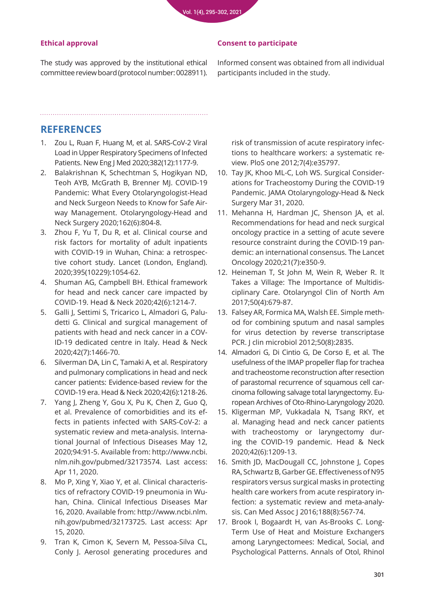### **Ethical approval**

The study was approved by the institutional ethical committee review board (protocol number: 0028911).

### **Consent to participate**

Informed consent was obtained from all individual participants included in the study.

# **REFERENCES**

1. [Zou L, Ruan F, Huang M, et al. SARS-CoV-2 Viral](https://pubmed.ncbi.nlm.nih.gov/32074444/)  Load in Upper Respiratory Specimens of Infected Patients. New Eng J Med 2020;382(12):1177-9.

- 2. [Balakrishnan K, Schechtman S, Hogikyan ND,](https://pubmed.ncbi.nlm.nih.gov/32286909/)  Teoh AYB, McGrath B, Brenner MJ. COVID-19 Pandemic: What Every Otolaryngologist-Head and Neck Surgeon Needs to Know for Safe Airway Management. Otolaryngology-Head and Neck Surgery 2020;162(6):804-8.
- 3. [Zhou F, Yu T, Du R, et al. Clinical course and](https://pubmed.ncbi.nlm.nih.gov/32171076/)  risk factors for mortality of adult inpatients with COVID-19 in Wuhan, China: a retrospective cohort study. Lancet (London, England). 2020;395(10229):1054-62.
- 4. [Shuman AG, Campbell BH. Ethical framework](https://pubmed.ncbi.nlm.nih.gov/32329948/)  for head and neck cancer care impacted by COVID-19. Head & Neck 2020;42(6):1214-7.
- 5. Galli J, Settimi S, Tricarico L, Almadori G, Palu[detti G. Clinical and surgical management of](https://pubmed.ncbi.nlm.nih.gov/32476204/)  patients with head and neck cancer in a COV-ID-19 dedicated centre in Italy. Head & Neck 2020;42(7):1466-70.
- 6. [Silverman DA, Lin C, Tamaki A, et al. Respiratory](https://pubmed.ncbi.nlm.nih.gov/32343013/)  and pulmonary complications in head and neck cancer patients: Evidence-based review for the COVID-19 era. Head & Neck 2020;42(6):1218-26.
- 7. Yang J, Zheng Y, Gou X, Pu K, Chen Z, Guo Q, et al. Prevalence of comorbidities and its effects in patients infected with SARS-CoV-2: a systematic review and meta-analysis. International Journal of Infectious Diseases May 12, 2020;94:91-5. Available from: http://www.ncbi. nlm.nih.gov/pubmed/32173574. Last access: Apr 11, 2020.
- 8. Mo P, Xing Y, Xiao Y, et al. Clinical characteristics of refractory COVID-19 pneumonia in Wuhan, China. Clinical Infectious Diseases Mar 16, 2020. Available from: http://www.ncbi.nlm. nih.gov/pubmed/32173725. Last access: Apr 15, 2020.
- 9. [Tran K, Cimon K, Severn M, Pessoa-Silva CL,](https://pubmed.ncbi.nlm.nih.gov/22563403/)  Conly J. Aerosol generating procedures and

[risk of transmission of acute respiratory infec](https://pubmed.ncbi.nlm.nih.gov/22563403/)tions to healthcare workers: a systematic review. PloS one 2012;7(4):e35797.

- 10. Tay JK, Khoo ML-C, Loh WS. Surgical Consider[ations for Tracheostomy During the COVID-19](https://pubmed.ncbi.nlm.nih.gov/32232426/)  Pandemic. JAMA Otolaryngology-Head & Neck Surgery Mar 31, 2020.
- 11. Mehanna H, Hardman JC, Shenson JA, et al. Recommendations for head and neck surgical [oncology practice in a setting of acute severe](https://pubmed.ncbi.nlm.nih.gov/32534633/)  resource constraint during the COVID-19 pandemic: an international consensus. The Lancet Oncology 2020;21(7):e350-9.
- 12. [Heineman T, St John M, Wein R, Weber R. It](https://pubmed.ncbi.nlm.nih.gov/28606602/)  Takes a Village: The Importance of Multidisciplinary Care. Otolaryngol Clin of North Am 2017;50(4):679-87.
- 13. Falsey AR, Formica MA, Walsh EE. Simple meth[od for combining sputum and nasal samples](https://pubmed.ncbi.nlm.nih.gov/22692748/)  for virus detection by reverse transcriptase PCR. J clin microbiol 2012;50(8):2835.
- 14. [Almadori G, Di Cintio G, De Corso E, et al. The](https://pubmed.ncbi.nlm.nih.gov/32613354/)  usefulness of the IMAP propeller flap for trachea and tracheostome reconstruction after resection of parastomal recurrence of squamous cell carcinoma following salvage total laryngectomy. European Archives of Oto-Rhino-Laryngology 2020.
- 15. [Kligerman MP, Vukkadala N, Tsang RKY, et](https://pubmed.ncbi.nlm.nih.gov/32298035/)  al. Managing head and neck cancer patients with tracheostomy or laryngectomy during the COVID-19 pandemic. Head & Neck 2020;42(6):1209-13.
- 16. [Smith JD, MacDougall CC, Johnstone J, Copes](https://pubmed.ncbi.nlm.nih.gov/26952529/)  RA, Schwartz B, Garber GE. Effectiveness of N95 respirators versus surgical masks in protecting health care workers from acute respiratory infection: a systematic review and meta-analysis. Can Med Assoc J 2016;188(8):567-74.
- 17. Brook I, Bogaardt H, van As-Brooks C. Long-[Term Use of Heat and Moisture Exchangers](https://pubmed.ncbi.nlm.nih.gov/23837386/)  among Laryngectomees: Medical, Social, and Psychological Patterns. Annals of Otol, Rhinol